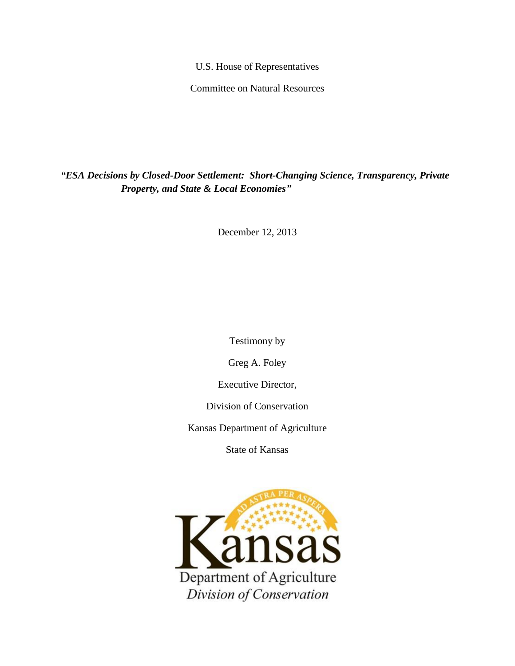U.S. House of Representatives

Committee on Natural Resources

*"ESA Decisions by Closed-Door Settlement: Short-Changing Science, Transparency, Private Property, and State & Local Economies"*

December 12, 2013

Testimony by

Greg A. Foley

Executive Director,

Division of Conservation

Kansas Department of Agriculture

State of Kansas

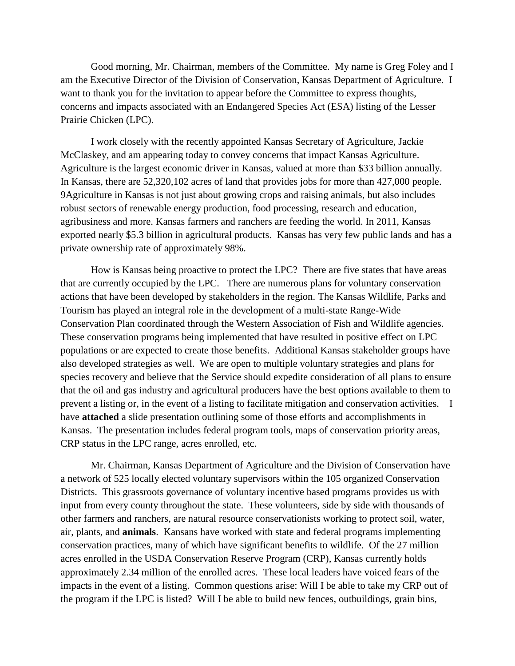Good morning, Mr. Chairman, members of the Committee. My name is Greg Foley and I am the Executive Director of the Division of Conservation, Kansas Department of Agriculture. I want to thank you for the invitation to appear before the Committee to express thoughts, concerns and impacts associated with an Endangered Species Act (ESA) listing of the Lesser Prairie Chicken (LPC).

I work closely with the recently appointed Kansas Secretary of Agriculture, Jackie McClaskey, and am appearing today to convey concerns that impact Kansas Agriculture. Agriculture is the largest economic driver in Kansas, valued at more than \$33 billion annually. In Kansas, there are 52,320,102 acres of land that provides jobs for more than 427,000 people. 9Agriculture in Kansas is not just about growing crops and raising animals, but also includes robust sectors of renewable energy production, food processing, research and education, agribusiness and more. Kansas farmers and ranchers are feeding the world. In 2011, Kansas exported nearly \$5.3 billion in agricultural products. Kansas has very few public lands and has a private ownership rate of approximately 98%.

How is Kansas being proactive to protect the LPC? There are five states that have areas that are currently occupied by the LPC. There are numerous plans for voluntary conservation actions that have been developed by stakeholders in the region. The Kansas Wildlife, Parks and Tourism has played an integral role in the development of a multi-state Range-Wide Conservation Plan coordinated through the Western Association of Fish and Wildlife agencies. These conservation programs being implemented that have resulted in positive effect on LPC populations or are expected to create those benefits. Additional Kansas stakeholder groups have also developed strategies as well. We are open to multiple voluntary strategies and plans for species recovery and believe that the Service should expedite consideration of all plans to ensure that the oil and gas industry and agricultural producers have the best options available to them to prevent a listing or, in the event of a listing to facilitate mitigation and conservation activities. I have **attached** a slide presentation outlining some of those efforts and accomplishments in Kansas. The presentation includes federal program tools, maps of conservation priority areas, CRP status in the LPC range, acres enrolled, etc.

Mr. Chairman, Kansas Department of Agriculture and the Division of Conservation have a network of 525 locally elected voluntary supervisors within the 105 organized Conservation Districts. This grassroots governance of voluntary incentive based programs provides us with input from every county throughout the state. These volunteers, side by side with thousands of other farmers and ranchers, are natural resource conservationists working to protect soil, water, air, plants, and **animals**. Kansans have worked with state and federal programs implementing conservation practices, many of which have significant benefits to wildlife. Of the 27 million acres enrolled in the USDA Conservation Reserve Program (CRP), Kansas currently holds approximately 2.34 million of the enrolled acres. These local leaders have voiced fears of the impacts in the event of a listing. Common questions arise: Will I be able to take my CRP out of the program if the LPC is listed? Will I be able to build new fences, outbuildings, grain bins,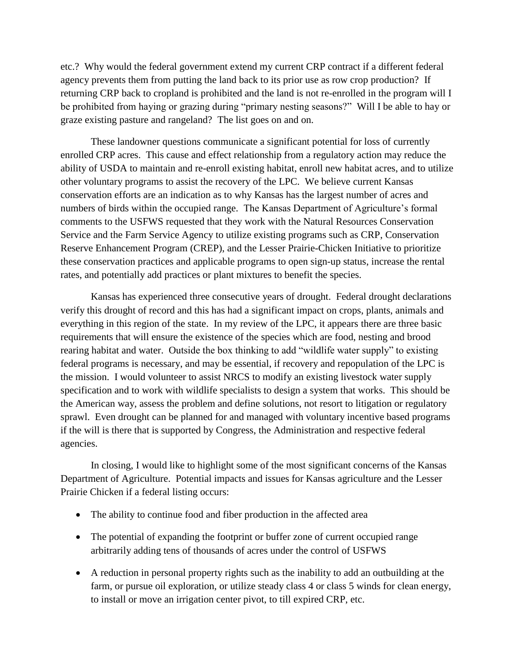etc.? Why would the federal government extend my current CRP contract if a different federal agency prevents them from putting the land back to its prior use as row crop production? If returning CRP back to cropland is prohibited and the land is not re-enrolled in the program will I be prohibited from haying or grazing during "primary nesting seasons?" Will I be able to hay or graze existing pasture and rangeland? The list goes on and on.

These landowner questions communicate a significant potential for loss of currently enrolled CRP acres. This cause and effect relationship from a regulatory action may reduce the ability of USDA to maintain and re-enroll existing habitat, enroll new habitat acres, and to utilize other voluntary programs to assist the recovery of the LPC. We believe current Kansas conservation efforts are an indication as to why Kansas has the largest number of acres and numbers of birds within the occupied range. The Kansas Department of Agriculture's formal comments to the USFWS requested that they work with the Natural Resources Conservation Service and the Farm Service Agency to utilize existing programs such as CRP, Conservation Reserve Enhancement Program (CREP), and the Lesser Prairie-Chicken Initiative to prioritize these conservation practices and applicable programs to open sign-up status, increase the rental rates, and potentially add practices or plant mixtures to benefit the species.

Kansas has experienced three consecutive years of drought. Federal drought declarations verify this drought of record and this has had a significant impact on crops, plants, animals and everything in this region of the state. In my review of the LPC, it appears there are three basic requirements that will ensure the existence of the species which are food, nesting and brood rearing habitat and water. Outside the box thinking to add "wildlife water supply" to existing federal programs is necessary, and may be essential, if recovery and repopulation of the LPC is the mission. I would volunteer to assist NRCS to modify an existing livestock water supply specification and to work with wildlife specialists to design a system that works. This should be the American way, assess the problem and define solutions, not resort to litigation or regulatory sprawl. Even drought can be planned for and managed with voluntary incentive based programs if the will is there that is supported by Congress, the Administration and respective federal agencies.

In closing, I would like to highlight some of the most significant concerns of the Kansas Department of Agriculture. Potential impacts and issues for Kansas agriculture and the Lesser Prairie Chicken if a federal listing occurs:

- The ability to continue food and fiber production in the affected area
- The potential of expanding the footprint or buffer zone of current occupied range arbitrarily adding tens of thousands of acres under the control of USFWS
- A reduction in personal property rights such as the inability to add an outbuilding at the farm, or pursue oil exploration, or utilize steady class 4 or class 5 winds for clean energy, to install or move an irrigation center pivot, to till expired CRP, etc.